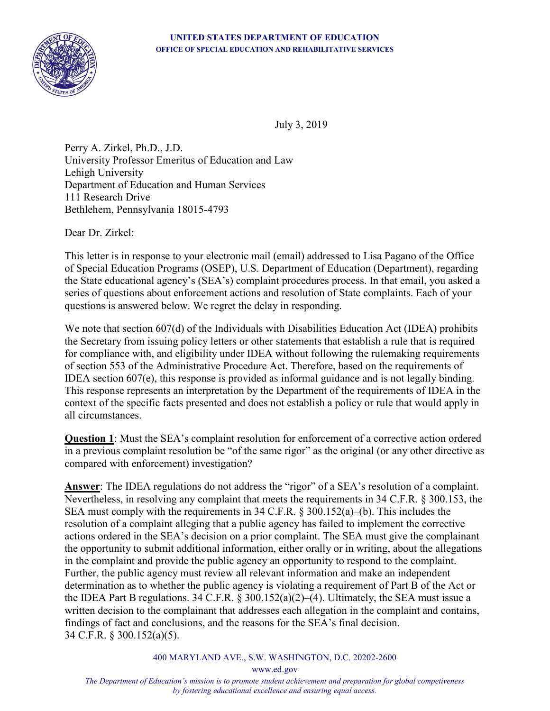

July 3, 2019

Perry A. Zirkel, Ph.D., J.D. University Professor Emeritus of Education and Law Lehigh University Department of Education and Human Services 111 Research Drive Bethlehem, Pennsylvania 18015-4793

Dear Dr. Zirkel:

This letter is in response to your electronic mail (email) addressed to Lisa Pagano of the Office of Special Education Programs (OSEP), U.S. Department of Education (Department), regarding the State educational agency's (SEA's) complaint procedures process. In that email, you asked a series of questions about enforcement actions and resolution of State complaints. Each of your questions is answered below. We regret the delay in responding.

We note that section 607(d) of the Individuals with Disabilities Education Act (IDEA) prohibits the Secretary from issuing policy letters or other statements that establish a rule that is required for compliance with, and eligibility under IDEA without following the rulemaking requirements of section 553 of the Administrative Procedure Act. Therefore, based on the requirements of IDEA section 607(e), this response is provided as informal guidance and is not legally binding. This response represents an interpretation by the Department of the requirements of IDEA in the context of the specific facts presented and does not establish a policy or rule that would apply in all circumstances.

**Question 1**: Must the SEA's complaint resolution for enforcement of a corrective action ordered in a previous complaint resolution be "of the same rigor" as the original (or any other directive as compared with enforcement) investigation?

**Answer**: The IDEA regulations do not address the "rigor" of a SEA's resolution of a complaint. Nevertheless, in resolving any complaint that meets the requirements in 34 C.F.R. § 300.153, the SEA must comply with the requirements in 34 C.F.R. § 300.152(a)–(b). This includes the resolution of a complaint alleging that a public agency has failed to implement the corrective actions ordered in the SEA's decision on a prior complaint. The SEA must give the complainant the opportunity to submit additional information, either orally or in writing, about the allegations in the complaint and provide the public agency an opportunity to respond to the complaint. Further, the public agency must review all relevant information and make an independent determination as to whether the public agency is violating a requirement of Part B of the Act or the IDEA Part B regulations. 34 C.F.R. § 300.152(a)(2)–(4). Ultimately, the SEA must issue a written decision to the complainant that addresses each allegation in the complaint and contains, findings of fact and conclusions, and the reasons for the SEA's final decision. 34 C.F.R. § 300.152(a)(5).

400 MARYLAND AVE., S.W. WASHINGTON, D.C. 20202-2600

*The Department of Education's mission is to promote student achievement and preparation for global competiveness by fostering educational excellence and ensuring equal access.*